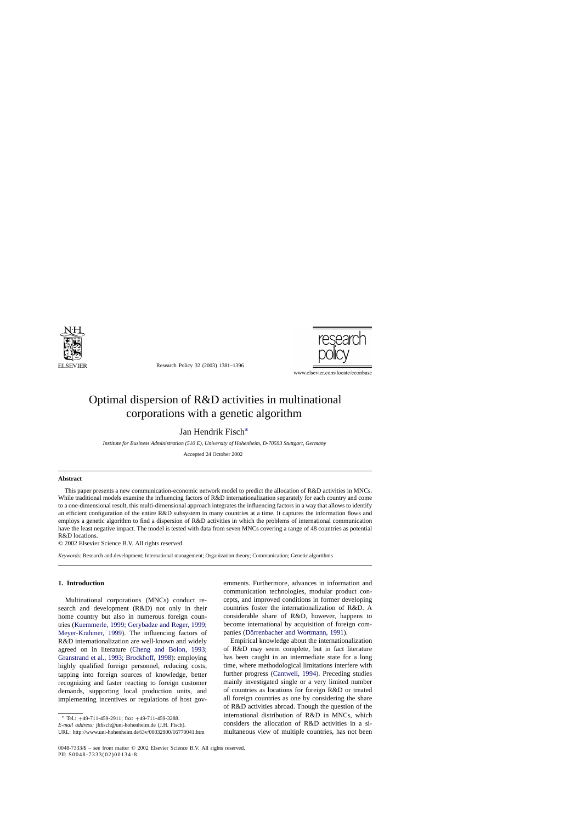

Research Policy 32 (2003) 1381–1396



www.elsevier.com/locate/econbase

## Optimal dispersion of R&D activities in multinational corporations with a genetic algorithm

Jan Hendrik Fisch∗

*Institute for Business Administration (510 E), University of Hohenheim, D-70593 Stuttgart, Germany*

Accepted 24 October 2002

## **Abstract**

This paper presents a new communication-economic network model to predict the allocation of R&D activities in MNCs. While traditional models examine the influencing factors of R&D internationalization separately for each country and come to a one-dimensional result, this multi-dimensional approach integrates the influencing factors in a way that allows to identify an efficient configuration of the entire R&D subsystem in many countries at a time. It captures the information flows and employs a genetic algorithm to find a dispersion of R&D activities in which the problems of international communication have the least negative impact. The model is tested with data from seven MNCs covering a range of 48 countries as potential R&D locations.

© 2002 Elsevier Science B.V. All rights reserved.

*Keywords:* Research and development; International management; Organization theory; Communication; Genetic algorithms

## **1. Introduction**

Multinational corporations (MNCs) conduct research and development (R&D) not only in their home country but also in numerous foreign countries ([Kuemmerle, 1999; Gerybadze and Reger, 1999;](#page--1-0) [Meyer-Krahmer, 1999\)](#page--1-0). The influencing factors of R&D internationalization are well-known and widely agreed on in literature ([Cheng and Bolon, 1993](#page--1-0); [Granstrand et al., 1993; Brockhoff, 1998\):](#page--1-0) employing highly qualified foreign personnel, reducing costs, tapping into foreign sources of knowledge, better recognizing and faster reacting to foreign customer demands, supporting local production units, and implementing incentives or regulations of host gov-

<sup>∗</sup> Tel.: +49-711-459-2911; fax: +49-711-459-3288.

*E-mail address:* jhfisch@uni-hohenheim.de (J.H. Fisch). URL: http://www.uni-hohenheim.de/i3v/00032900/16770041.htm ernments. Furthermore, advances in information and communication technologies, modular product concepts, and improved conditions in former developing countries foster the internationalization of R&D. A considerable share of R&D, however, happens to become international by acquisition of foreign companies [\(Dörrenbacher and Wortmann, 1991\).](#page--1-0)

Empirical knowledge about the internationalization of R&D may seem complete, but in fact literature has been caught in an intermediate state for a long time, where methodological limitations interfere with further progress [\(Cantwell, 1994\).](#page--1-0) Preceding studies mainly investigated single or a very limited number of countries as locations for foreign R&D or treated all foreign countries as one by considering the share of R&D activities abroad. Though the question of the international distribution of R&D in MNCs, which considers the allocation of R&D activities in a simultaneous view of multiple countries, has not been

<sup>0048-7333/\$ –</sup> see front matter © 2002 Elsevier Science B.V. All rights reserved. PII: S0048-7333(02)00134-8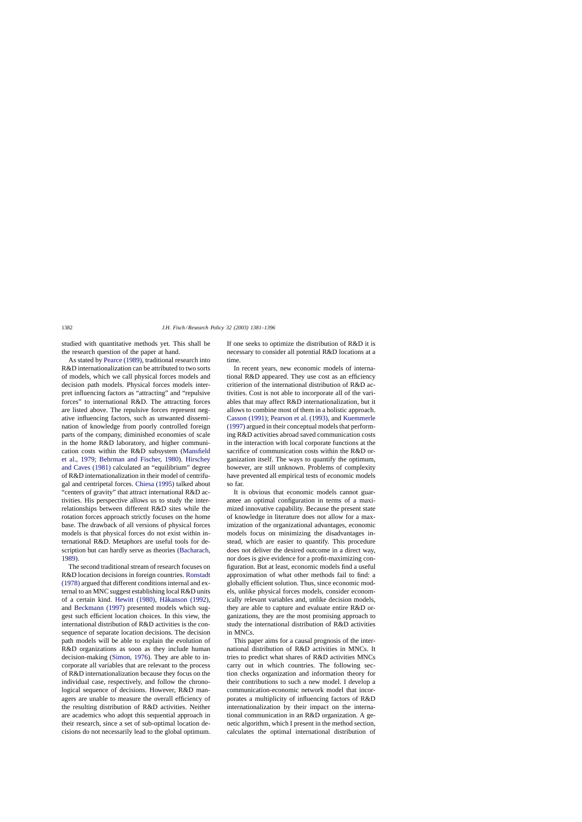studied with quantitative methods yet. This shall be the research question of the paper at hand.

As stated by [Pearce \(1989\), t](#page--1-0)raditional research into R&D internationalization can be attributed to two sorts of models, which we call physical forces models and decision path models. Physical forces models interpret influencing factors as "attracting" and "repulsive forces" to international R&D. The attracting forces are listed above. The repulsive forces represent negative influencing factors, such as unwanted dissemination of knowledge from poorly controlled foreign parts of the company, diminished economies of scale in the home R&D laboratory, and higher communication costs within the R&D subsystem ([Mansfield](#page--1-0) [et al., 1979; Behrman and Fischer, 1980](#page--1-0)). [Hirschey](#page--1-0) [and Caves \(1981\)](#page--1-0) calculated an "equilibrium" degree of R&D internationalization in their model of centrifugal and centripetal forces. [Chiesa \(1995\)](#page--1-0) talked about "centers of gravity" that attract international R&D activities. His perspective allows us to study the interrelationships between different R&D sites while the rotation forces approach strictly focuses on the home base. The drawback of all versions of physical forces models is that physical forces do not exist within international R&D. Metaphors are useful tools for description but can hardly serve as theories ([Bacharach,](#page--1-0) [1989\).](#page--1-0)

The second traditional stream of research focuses on R&D location decisions in foreign countries. [Ronstadt](#page--1-0) [\(1978\)](#page--1-0) argued that different conditions internal and external to an MNC suggest establishing local R&D units of a certain kind. [Hewitt \(1980\),](#page--1-0) [Håkanson \(1992\),](#page--1-0) and [Beckmann \(1997\)](#page--1-0) presented models which suggest such efficient location choices. In this view, the international distribution of R&D activities is the consequence of separate location decisions. The decision path models will be able to explain the evolution of R&D organizations as soon as they include human decision-making [\(Simon, 1976\).](#page--1-0) They are able to incorporate all variables that are relevant to the process of R&D internationalization because they focus on the individual case, respectively, and follow the chronological sequence of decisions. However, R&D managers are unable to measure the overall efficiency of the resulting distribution of R&D activities. Neither are academics who adopt this sequential approach in their research, since a set of sub-optimal location decisions do not necessarily lead to the global optimum. If one seeks to optimize the distribution of R&D it is necessary to consider all potential R&D locations at a time.

In recent years, new economic models of international R&D appeared. They use cost as an efficiency critierion of the international distribution of R&D activities. Cost is not able to incorporate all of the variables that may affect R&D internationalization, but it allows to combine most of them in a holistic approach. [Casson \(1991\); Pearson et al. \(1993\), a](#page--1-0)nd [Kuemmerle](#page--1-0) [\(1997\)](#page--1-0) argued in their conceptual models that performing R&D activities abroad saved communication costs in the interaction with local corporate functions at the sacrifice of communication costs within the R&D organization itself. The ways to quantify the optimum, however, are still unknown. Problems of complexity have prevented all empirical tests of economic models so far.

It is obvious that economic models cannot guarantee an optimal configuration in terms of a maximized innovative capability. Because the present state of knowledge in literature does not allow for a maximization of the organizational advantages, economic models focus on minimizing the disadvantages instead, which are easier to quantify. This procedure does not deliver the desired outcome in a direct way, nor does is give evidence for a profit-maximizing configuration. But at least, economic models find a useful approximation of what other methods fail to find: a globally efficient solution. Thus, since economic models, unlike physical forces models, consider economically relevant variables and, unlike decision models, they are able to capture and evaluate entire R&D organizations, they are the most promising approach to study the international distribution of R&D activities in MNCs.

This paper aims for a causal prognosis of the international distribution of R&D activities in MNCs. It tries to predict what shares of R&D activities MNCs carry out in which countries. The following section checks organization and information theory for their contributions to such a new model. I develop a communication-economic network model that incorporates a multiplicity of influencing factors of R&D internationalization by their impact on the international communication in an R&D organization. A genetic algorithm, which I present in the method section, calculates the optimal international distribution of